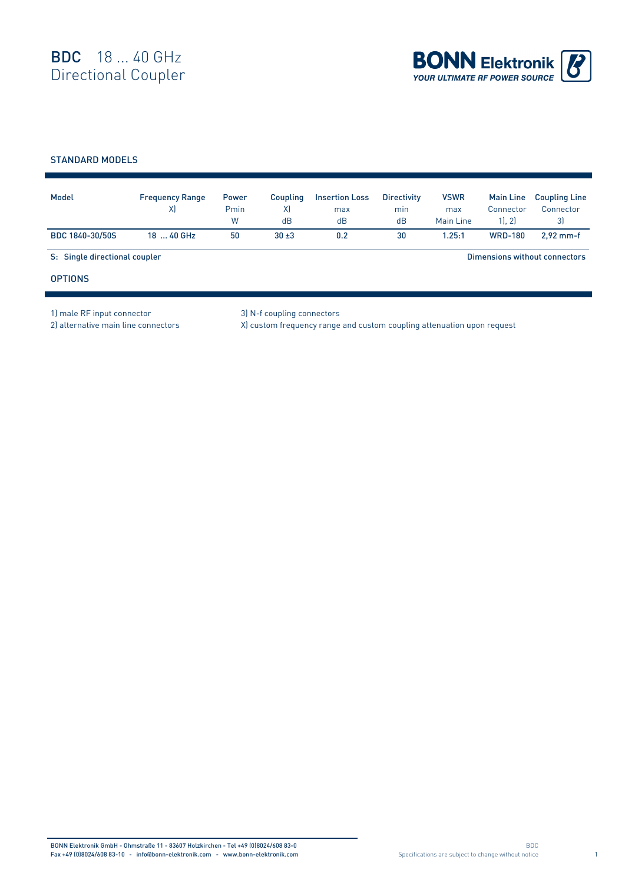

## STANDARD MODELS

| Model                         | <b>Frequency Range</b><br>X) | <b>Power</b><br>Pmin<br>W | Coupling<br>X)<br>dB | <b>Insertion Loss</b><br>max<br>dB | <b>Directivity</b><br>min<br>dB | <b>VSWR</b><br>max<br>Main Line | <b>Main Line</b><br>Connector<br>1, 2 | <b>Coupling Line</b><br>Connector<br>3) |  |
|-------------------------------|------------------------------|---------------------------|----------------------|------------------------------------|---------------------------------|---------------------------------|---------------------------------------|-----------------------------------------|--|
| BDC 1840-30/50S               | 18  40 GHz                   | 50                        | $30 + 3$             | 0.2                                | 30                              | 1.25:1                          | <b>WRD-180</b>                        | $2.92$ mm-f                             |  |
| S: Single directional coupler |                              |                           |                      |                                    |                                 | Dimensions without connectors   |                                       |                                         |  |
| <b>OPTIONS</b>                |                              |                           |                      |                                    |                                 |                                 |                                       |                                         |  |

1) male RF input connector 3) N-f coupling connectors

r

2) alternative main line connectors X) custom frequency range and custom coupling attenuation upon request